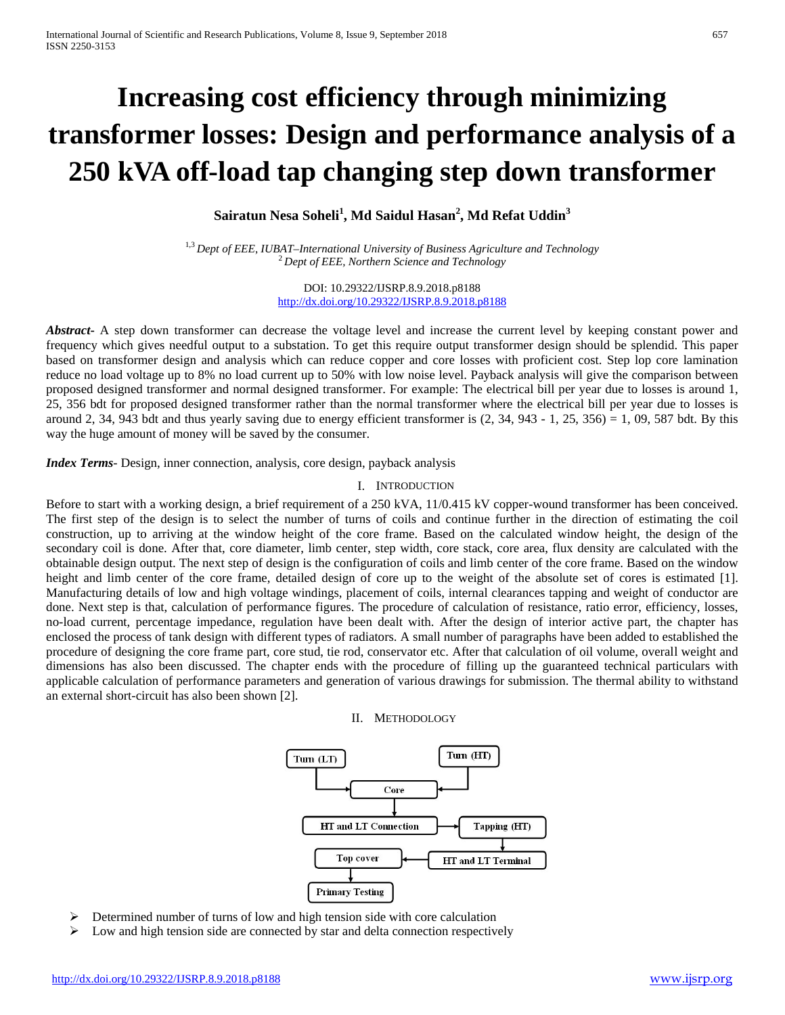# **Increasing cost efficiency through minimizing transformer losses: Design and performance analysis of a 250 kVA off-load tap changing step down transformer**

**Sairatun Nesa Soheli<sup>1</sup> , Md Saidul Hasan<sup>2</sup> , Md Refat Uddin<sup>3</sup>**

<sup>1,3</sup> *Dept of EEE, IUBAT–International University of Business Agriculture and Technology*<br><sup>2</sup>*Dept of EEE, Northern Science and Technology* 

DOI: 10.29322/IJSRP.8.9.2018.p8188 <http://dx.doi.org/10.29322/IJSRP.8.9.2018.p8188>

*Abstract* A step down transformer can decrease the voltage level and increase the current level by keeping constant power and frequency which gives needful output to a substation. To get this require output transformer design should be splendid. This paper based on transformer design and analysis which can reduce copper and core losses with proficient cost. Step lop core lamination reduce no load voltage up to 8% no load current up to 50% with low noise level. Payback analysis will give the comparison between proposed designed transformer and normal designed transformer. For example: The electrical bill per year due to losses is around 1, 25, 356 bdt for proposed designed transformer rather than the normal transformer where the electrical bill per year due to losses is around 2, 34, 943 bdt and thus yearly saving due to energy efficient transformer is  $(2, 34, 943 - 1, 25, 356) = 1, 09, 587$  bdt. By this way the huge amount of money will be saved by the consumer.

*Index Terms*- Design, inner connection, analysis, core design, payback analysis

### I. INTRODUCTION

Before to start with a working design, a brief requirement of a 250 kVA, 11/0.415 kV copper-wound transformer has been conceived. The first step of the design is to select the number of turns of coils and continue further in the direction of estimating the coil construction, up to arriving at the window height of the core frame. Based on the calculated window height, the design of the secondary coil is done. After that, core diameter, limb center, step width, core stack, core area, flux density are calculated with the obtainable design output. The next step of design is the configuration of coils and limb center of the core frame. Based on the window height and limb center of the core frame, detailed design of core up to the weight of the absolute set of cores is estimated [1]. Manufacturing details of low and high voltage windings, placement of coils, internal clearances tapping and weight of conductor are done. Next step is that, calculation of performance figures. The procedure of calculation of resistance, ratio error, efficiency, losses, no-load current, percentage impedance, regulation have been dealt with. After the design of interior active part, the chapter has enclosed the process of tank design with different types of radiators. A small number of paragraphs have been added to established the procedure of designing the core frame part, core stud, tie rod, conservator etc. After that calculation of oil volume, overall weight and dimensions has also been discussed. The chapter ends with the procedure of filling up the guaranteed technical particulars with applicable calculation of performance parameters and generation of various drawings for submission. The thermal ability to withstand an external short-circuit has also been shown [2].

II. METHODOLOGY



- Determined number of turns of low and high tension side with core calculation
- $\triangleright$  Low and high tension side are connected by star and delta connection respectively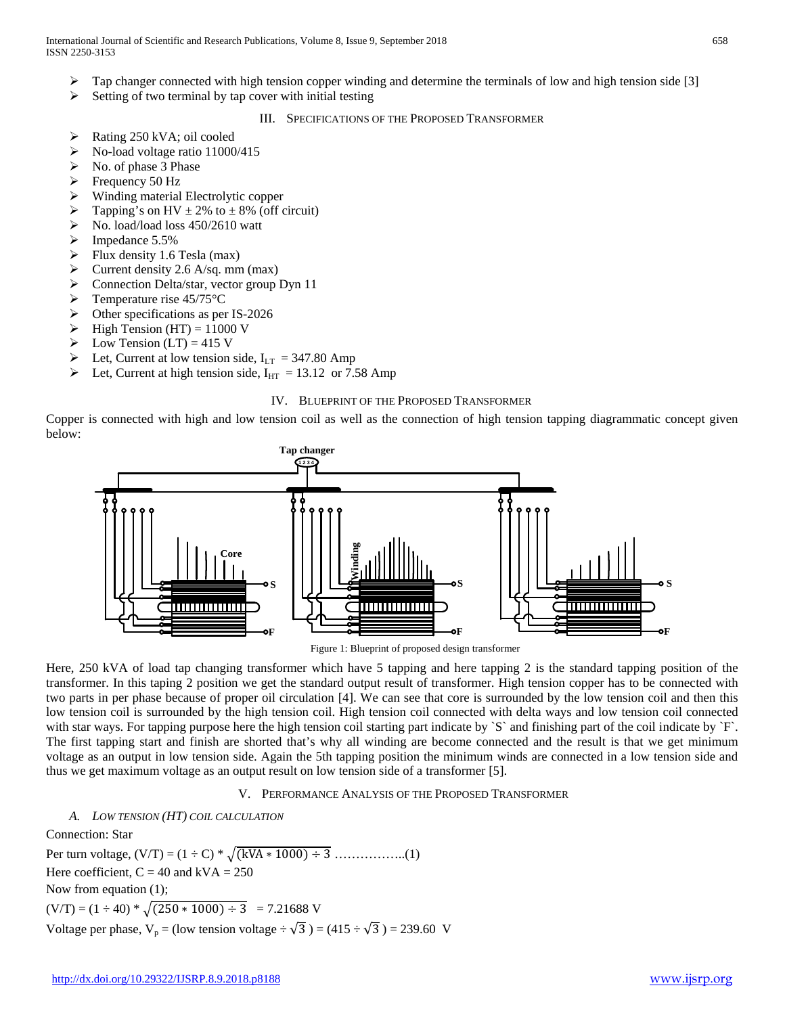- $\triangleright$  Tap changer connected with high tension copper winding and determine the terminals of low and high tension side [3]
- $\triangleright$  Setting of two terminal by tap cover with initial testing
	- III. SPECIFICATIONS OF THE PROPOSED TRANSFORMER
- $\triangleright$  Rating 250 kVA; oil cooled
- $\triangleright$  No-load voltage ratio 11000/415
- $\triangleright$  No. of phase 3 Phase
- $\triangleright$  Frequency 50 Hz
- $\triangleright$  Winding material Electrolytic copper
- $\triangleright$  Tapping's on HV  $\pm$  2% to  $\pm$  8% (off circuit)
- No. load/load loss 450/2610 watt
- $\triangleright$  Impedance 5.5%
- $\triangleright$  Flux density 1.6 Tesla (max)
- $\triangleright$  Current density 2.6 A/sq. mm (max)
- Connection Delta/star, vector group Dyn 11
- $\triangleright$  Temperature rise 45/75 °C
- $\triangleright$  Other specifications as per IS-2026
- $\triangleright$  High Tension (HT) = 11000 V
- $\triangleright$  Low Tension (LT) = 415 V
- Eet, Current at low tension side,  $I_{LT} = 347.80$  Amp<br>
let Current at high tension side,  $I_{LT} = 13.12$  or  $7<sub>z</sub>$
- Let, Current at high tension side,  $I_{HT}$  = 13.12 or 7.58 Amp

#### IV. BLUEPRINT OF THE PROPOSED TRANSFORMER

Copper is connected with high and low tension coil as well as the connection of high tension tapping diagrammatic concept given below:



Figure 1: Blueprint of proposed design transformer

Here, 250 kVA of load tap changing transformer which have 5 tapping and here tapping 2 is the standard tapping position of the transformer. In this taping 2 position we get the standard output result of transformer. High tension copper has to be connected with two parts in per phase because of proper oil circulation [4]. We can see that core is surrounded by the low tension coil and then this low tension coil is surrounded by the high tension coil. High tension coil connected with delta ways and low tension coil connected with star ways. For tapping purpose here the high tension coil starting part indicate by `S` and finishing part of the coil indicate by `F`. The first tapping start and finish are shorted that's why all winding are become connected and the result is that we get minimum voltage as an output in low tension side. Again the 5th tapping position the minimum winds are connected in a low tension side and thus we get maximum voltage as an output result on low tension side of a transformer [5].

#### V. PERFORMANCE ANALYSIS OF THE PROPOSED TRANSFORMER

### *A. LOW TENSION (HT) COIL CALCULATION*

Connection: Star Per turn voltage,  $(V/T) = (1 \div C) * \sqrt{(kVA * 1000) \div 3}$  ……………..(1) Here coefficient,  $C = 40$  and kVA = 250 Now from equation (1);  $(V/T) = (1 \div 40) * \sqrt{(250 * 1000) \div 3} = 7.21688$  V Voltage per phase,  $V_p = (low tension voltage \div \sqrt{3}) = (415 \div \sqrt{3}) = 239.60$  V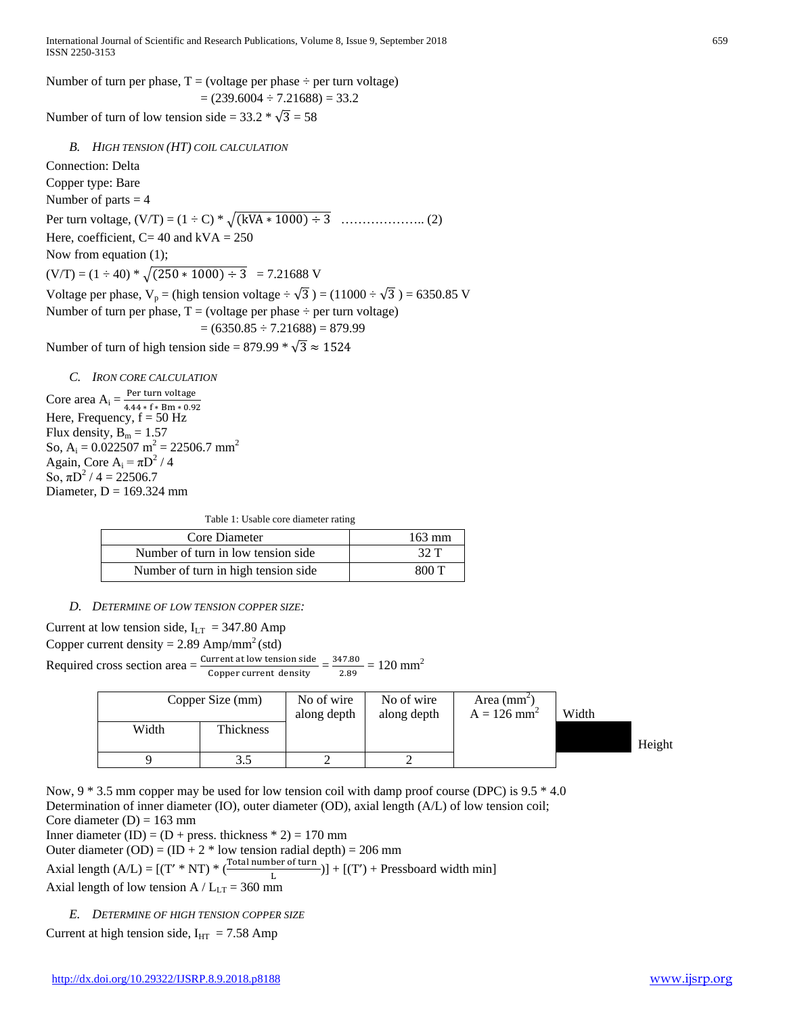Number of turn per phase,  $T = (voltage per phase \div per turn voltage)$  $= (239.6004 \div 7.21688) = 33.2$ Number of turn of low tension side =  $33.2 \times \sqrt{3} = 58$ *B. HIGH TENSION (HT) COIL CALCULATION* Connection: Delta Copper type: Bare

Number of parts  $=$  4 Per turn voltage,  $(V/T) = (1 + C) * \sqrt{(kVA * 1000) + 3}$  ……………….. (2) Here, coefficient,  $C= 40$  and kVA = 250 Now from equation (1);  $(V/T) = (1 \div 40) * \sqrt{(250 * 1000) \div 3} = 7.21688$  V Voltage per phase,  $V_p = (high tension voltage \div \sqrt{3}) = (11000 \div \sqrt{3}) = 6350.85$  V Number of turn per phase,  $T = (voltage per phase \div per turn voltage)$  $= (6350.85 \div 7.21688) = 879.99$ 

Number of turn of high tension side = 879.99  $\sqrt{3} \approx 1524$ 

*C. IRON CORE CALCULATION*

Core area  $A_i = \frac{Per \ turn \ voltage}{4.44 * f * Bm * 0.92}$ Here, Frequency,  $f = 50$  Hz Flux density,  $B_m = 1.57$ So,  $A_i = 0.022507$  m<sup>2</sup> = 22506.7 mm<sup>2</sup> Again, Core A<sub>i</sub> =  $\pi D^2/4$ So,  $\pi D^2 / 4 = 22506.7$ Diameter,  $D = 169.324$  mm

Table 1: Usable core diameter rating

| Core Diameter                       | $163 \text{ mm}$ |
|-------------------------------------|------------------|
| Number of turn in low tension side  | 32 T             |
| Number of turn in high tension side | 800 T            |

## *D. DETERMINE OF LOW TENSION COPPER SIZE:*

Current at low tension side,  $I_{LT}$  = 347.80 Amp

Copper current density =  $2.89 \text{ Amp/mm}^2 \text{ (std)}$ 

Required cross section area  $=\frac{\text{Current at low tension side}}{\text{Copper current density}} = \frac{347.80}{2.89} = 120 \text{ mm}^2$ 

|       | Copper Size (mm) | No of wire<br>along depth | No of wire<br>along depth | Area $(mm2)$<br>$A = 126$ mm <sup>2</sup> | Width |        |
|-------|------------------|---------------------------|---------------------------|-------------------------------------------|-------|--------|
| Width | <b>Thickness</b> |                           |                           |                                           |       | Height |
|       |                  |                           |                           |                                           |       |        |

Now,  $9 * 3.5$  mm copper may be used for low tension coil with damp proof course (DPC) is  $9.5 * 4.0$ Determination of inner diameter (IO), outer diameter (OD), axial length (A/L) of low tension coil; Core diameter  $(D) = 163$  mm

Inner diameter (ID) =  $(D + \text{press. thickness} * 2) = 170 \text{ mm}$ 

Outer diameter (OD) =  $(ID + 2 * low tension radial depth) = 206 mm$ 

Axial length  $(A/L) = [(T' * NT) * (\frac{Total number of turn}{L})] + [(T') + Pressboard width min]$ Axial length of low tension A /  $L_{LT}$  = 360 mm

*E. DETERMINE OF HIGH TENSION COPPER SIZE*

Current at high tension side,  $I_{\text{HT}} = 7.58$  Amp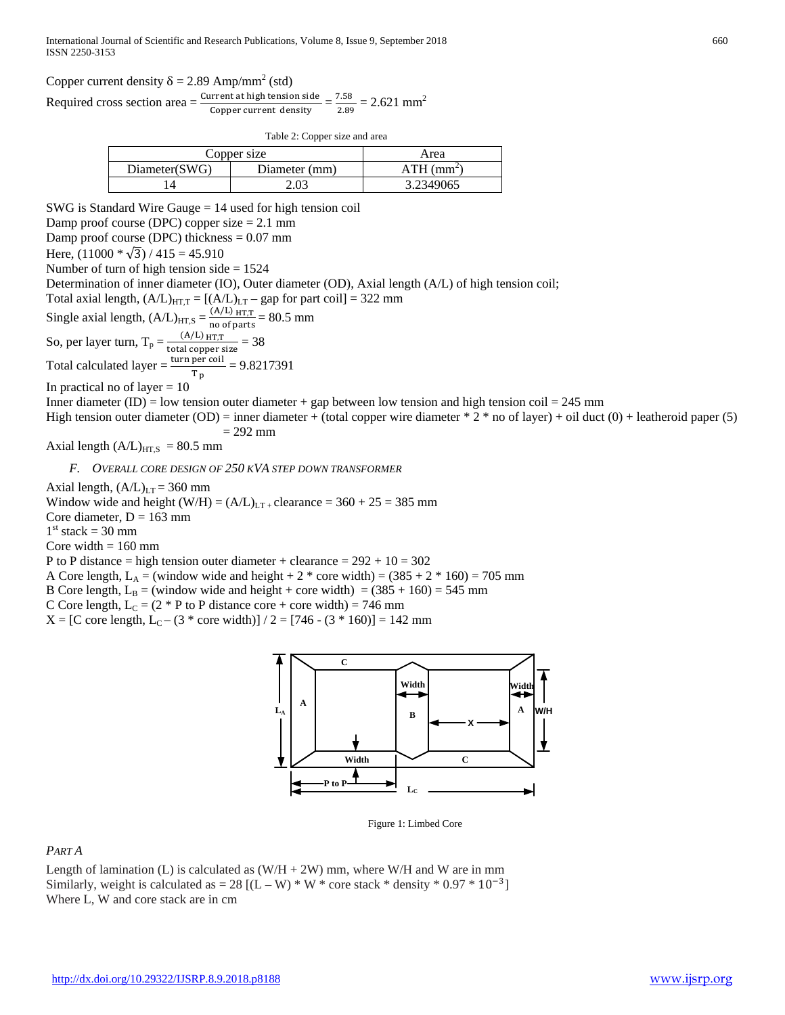Copper current density  $\delta = 2.89$  Amp/mm<sup>2</sup> (std)

Required cross section area  $=\frac{\text{Current at high tension side}}{\text{Copper current density}} = \frac{7.58}{2.89} = 2.621 \text{ mm}^2$ 

Table 2: Copper size and area

| Copper size   | Area              |           |
|---------------|-------------------|-----------|
| Diameter(SWG) | ATH<br>. $(mm^2)$ |           |
|               |                   | 3.2349065 |

SWG is Standard Wire Gauge = 14 used for high tension coil Damp proof course (DPC) copper size  $= 2.1$  mm Damp proof course (DPC) thickness  $= 0.07$  mm Here,  $(11000 * \sqrt{3}) / 415 = 45.910$ Number of turn of high tension side = 1524 Determination of inner diameter (IO), Outer diameter (OD), Axial length (A/L) of high tension coil; Total axial length,  $(A/L)_{HT,T} = [(A/L)_{LT} -$ gap for part coil] = 322 mm Single axial length,  $(A/L)_{HT,S} = \frac{(A/L)_{HT,T}}{no \space of \space parts} = 80.5$  mm So, per layer turn,  $T_p = \frac{(A/L) H T, T}{total copper size} = 38$ Total calculated layer =  $\frac{\text{turn per coul}}{\text{T p}}$  = 9.8217391 In practical no of layer  $= 10$ Inner diameter (ID) = low tension outer diameter + gap between low tension and high tension coil = 245 mm High tension outer diameter (OD) = inner diameter + (total copper wire diameter  $* 2 *$  no of layer) + oil duct (0) + leatheroid paper (5)  $= 292$  mm Axial length  $(A/L)_{HT,S}$  = 80.5 mm

*F. OVERALL CORE DESIGN OF 250 KVA STEP DOWN TRANSFORMER*

Axial length,  $(A/L)_{LT} = 360$  mm Window wide and height  $(W/H) = (A/L)_{LT}$  clearance = 360 + 25 = 385 mm Core diameter,  $D = 163$  mm  $1<sup>st</sup>$  stack = 30 mm Core width  $= 160$  mm

P to P distance = high tension outer diameter + clearance =  $292 + 10 = 302$ 

A Core length,  $L_A =$  (window wide and height + 2  $*$  core width) = (385 + 2  $*$  160) = 705 mm

B Core length,  $L_B =$  (window wide and height + core width) = (385 + 160) = 545 mm

C Core length,  $L_C = (2 * P)$  to P distance core + core width) = 746 mm

 $X = [C \text{ core length}, L_{C} - (3 * \text{ core width})] / 2 = [746 - (3 * 160)] = 142 \text{ mm}$ 



Figure 1: Limbed Core

# *PART A*

Length of lamination (L) is calculated as  $(W/H + 2W)$  mm, where W/H and W are in mm Similarly, weight is calculated as =  $28$  [(L – W) \* W \* core stack \* density \* 0.97 \*  $10^{-3}$ ] Where L, W and core stack are in cm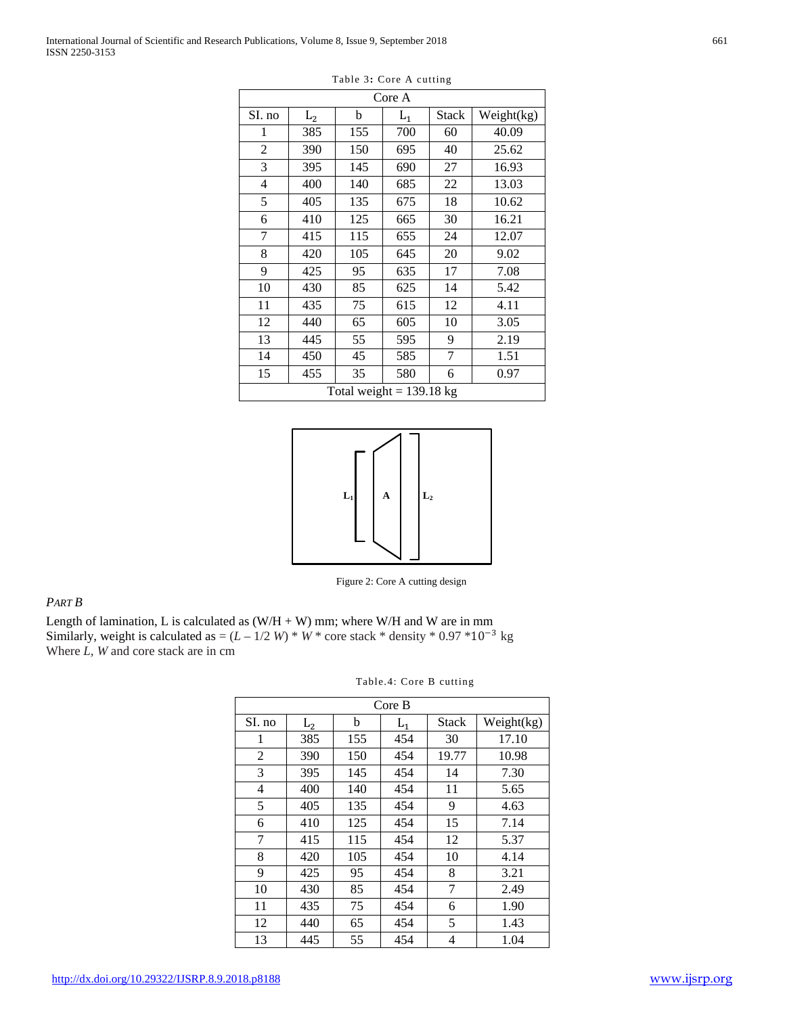| Core A                     |                |     |       |                |            |
|----------------------------|----------------|-----|-------|----------------|------------|
| SI. no                     | L <sub>2</sub> | b   | $L_1$ | Stack          | Weight(kg) |
| 1                          | 385            | 155 | 700   | 60             | 40.09      |
| $\overline{2}$             | 390            | 150 | 695   | 40             | 25.62      |
| 3                          | 395            | 145 | 690   | 27             | 16.93      |
| 4                          | 400            | 140 | 685   | 22             | 13.03      |
| 5                          | 405            | 135 | 675   | 18             | 10.62      |
| 6                          | 410            | 125 | 665   | 30             | 16.21      |
| 7                          | 415            | 115 | 655   | 24             | 12.07      |
| 8                          | 420            | 105 | 645   | 20             | 9.02       |
| 9                          | 425            | 95  | 635   | 17             | 7.08       |
| 10                         | 430            | 85  | 625   | 14             | 5.42       |
| 11                         | 435            | 75  | 615   | 12             | 4.11       |
| 12                         | 440            | 65  | 605   | 10             | 3.05       |
| 13                         | 445            | 55  | 595   | 9              | 2.19       |
| 14                         | 450            | 45  | 585   | $\overline{7}$ | 1.51       |
| 15                         | 455            | 35  | 580   | 6              | 0.97       |
| Total weight = $139.18$ kg |                |     |       |                |            |





Figure 2: Core A cutting design

## *PART B*

Length of lamination, L is calculated as  $(W/H + W)$  mm; where W/H and W are in mm Similarly, weight is calculated as =  $(L - 1/2 W) * W *$  core stack \* density \* 0.97 \*10<sup>-3</sup> kg Where *L*, *W* and core stack are in cm

|        |                |     | Core B |              |            |
|--------|----------------|-----|--------|--------------|------------|
| SI. no | L <sub>2</sub> | b   | $L_1$  | <b>Stack</b> | Weight(kg) |
| 1      | 385            | 155 | 454    | 30           | 17.10      |
| 2      | 390            | 150 | 454    | 19.77        | 10.98      |
| 3      | 395            | 145 | 454    | 14           | 7.30       |
| 4      | 400            | 140 | 454    | 11           | 5.65       |
| 5      | 405            | 135 | 454    | 9            | 4.63       |
| 6      | 410            | 125 | 454    | 15           | 7.14       |
| 7      | 415            | 115 | 454    | 12           | 5.37       |
| 8      | 420            | 105 | 454    | 10           | 4.14       |
| 9      | 425            | 95  | 454    | 8            | 3.21       |
| 10     | 430            | 85  | 454    | 7            | 2.49       |
| 11     | 435            | 75  | 454    | 6            | 1.90       |
| 12     | 440            | 65  | 454    | 5            | 1.43       |
| 13     | 445            | 55  | 454    | 4            | 1.04       |

Table.4: Core B cutting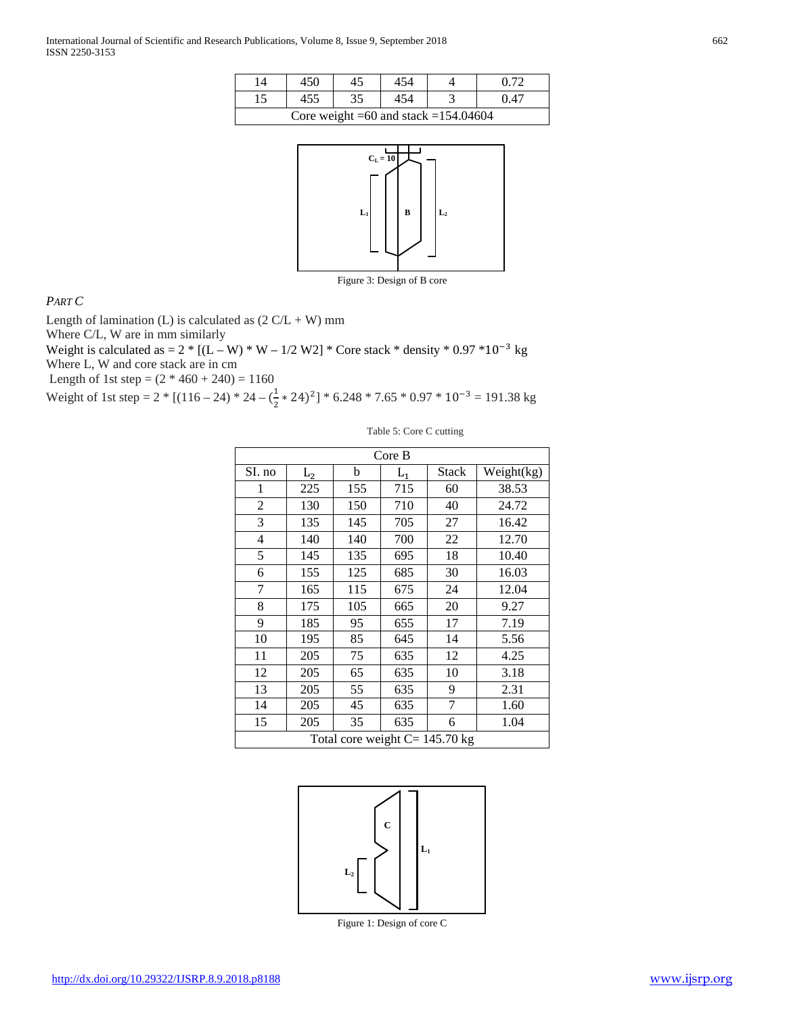| $\overline{4}$                           | 450 |    |  |  |     |  |
|------------------------------------------|-----|----|--|--|-----|--|
|                                          |     | 35 |  |  | 147 |  |
| Core weight = 60 and stack = $154.04604$ |     |    |  |  |     |  |



Figure 3: Design of B core

Table 5: Core C cutting

*PART C*

Length of lamination (L) is calculated as  $(2 C/L + W)$  mm

Where C/L, W are in mm similarly

Weight is calculated as =  $2 * [(L - W) * W - 1/2 W^2] * \text{Core stack} * \text{density} * 0.97 * 10^{-3} \text{ kg}$ Where L, W and core stack are in cm

Length of 1st step =  $(2 * 460 + 240) = 1160$ 

Weight of 1st step = 2 \* [(116 – 24) \* 24 –  $(\frac{1}{2} \times 24)^2$ ] \* 6.248 \* 7.65 \* 0.97 \* 10<sup>-3</sup> = 191.38 kg

| Core B                            |                |     |       |              |            |
|-----------------------------------|----------------|-----|-------|--------------|------------|
| SI. no                            | L <sub>2</sub> | b   | $L_1$ | <b>Stack</b> | Weight(kg) |
| 1                                 | 225            | 155 | 715   | 60           | 38.53      |
| 2                                 | 130            | 150 | 710   | 40           | 24.72      |
| 3                                 | 135            | 145 | 705   | 27           | 16.42      |
| $\overline{4}$                    | 140            | 140 | 700   | 22           | 12.70      |
| 5                                 | 145            | 135 | 695   | 18           | 10.40      |
| 6                                 | 155            | 125 | 685   | 30           | 16.03      |
| 7                                 | 165            | 115 | 675   | 24           | 12.04      |
| 8                                 | 175            | 105 | 665   | 20           | 9.27       |
| 9                                 | 185            | 95  | 655   | 17           | 7.19       |
| 10                                | 195            | 85  | 645   | 14           | 5.56       |
| 11                                | 205            | 75  | 635   | 12           | 4.25       |
| 12                                | 205            | 65  | 635   | 10           | 3.18       |
| 13                                | 205            | 55  | 635   | 9            | 2.31       |
| 14                                | 205            | 45  | 635   | 7            | 1.60       |
| 15                                | 205            | 35  | 635   | 6            | 1.04       |
| Total core weight $C = 145.70$ kg |                |     |       |              |            |



Figure 1: Design of core C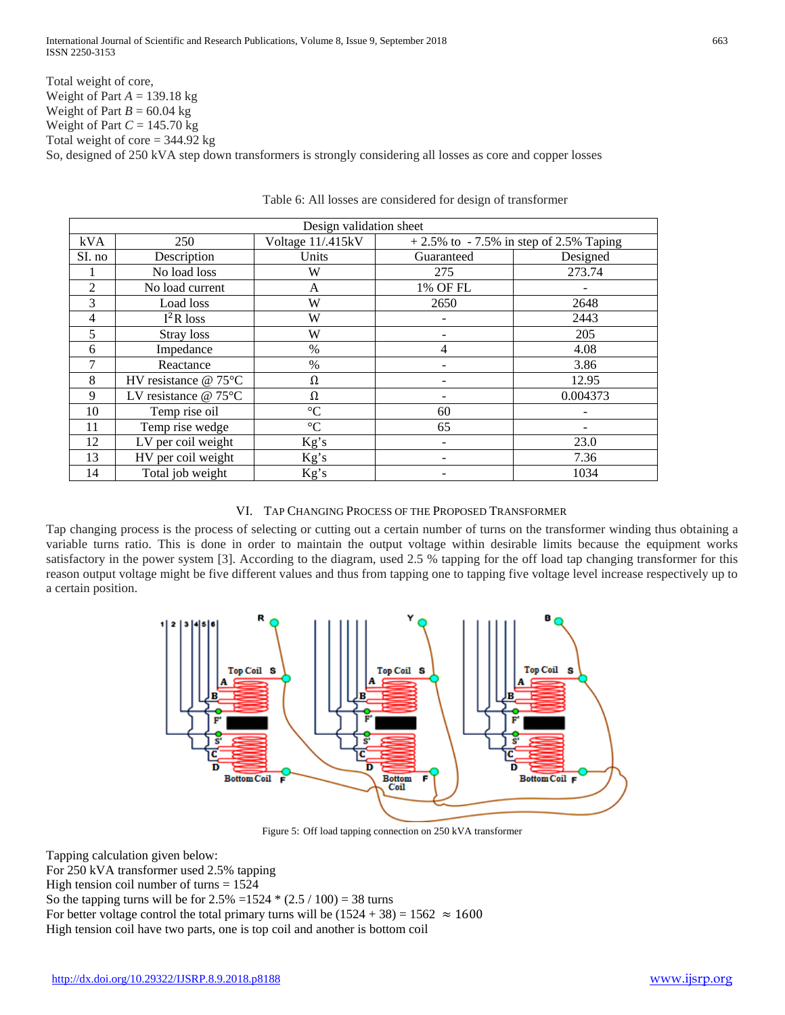Total weight of core, Weight of Part *A* = 139.18 kg Weight of Part  $B = 60.04$  kg Weight of Part *C* = 145.70 kg Total weight of core  $= 344.92$  kg So, designed of 250 kVA step down transformers is strongly considering all losses as core and copper losses

| Design validation sheet |                         |                   |                                          |          |  |
|-------------------------|-------------------------|-------------------|------------------------------------------|----------|--|
| kVA                     | 250                     | Voltage 11/.415kV | $+2.5\%$ to -7.5% in step of 2.5% Taping |          |  |
| SI. no                  | Description             | Units             | Guaranteed                               | Designed |  |
|                         | No load loss            | W                 | 275                                      | 273.74   |  |
| 2                       | No load current         | A                 | 1% OF FL                                 |          |  |
| 3                       | Load loss               | W                 | 2650                                     | 2648     |  |
| $\overline{4}$          | $I^2R$ loss             | W                 |                                          | 2443     |  |
| 5                       | Stray loss              | W                 |                                          | 205      |  |
| 6                       | Impedance               | $\%$              | 4                                        | 4.08     |  |
| 7                       | Reactance               | $\%$              |                                          | 3.86     |  |
| 8                       | HV resistance $@ 75$ °C | Ω                 |                                          | 12.95    |  |
| 9                       | LV resistance $@ 75$ °C | Ω                 |                                          | 0.004373 |  |
| 10                      | Temp rise oil           | $\rm ^{\circ}C$   | 60                                       |          |  |
| 11                      | Temp rise wedge         | $\rm ^{\circ}C$   | 65                                       |          |  |
| 12                      | LV per coil weight      | Kg's              |                                          | 23.0     |  |
| 13                      | HV per coil weight      | Kg's              |                                          | 7.36     |  |
| 14                      | Total job weight        | Kg's              |                                          | 1034     |  |

Table 6: All losses are considered for design of transformer

# VI. TAP CHANGING PROCESS OF THE PROPOSED TRANSFORMER

Tap changing process is the process of selecting or cutting out a certain number of turns on the transformer winding thus obtaining a variable turns ratio. This is done in order to maintain the output voltage within desirable limits because the equipment works satisfactory in the power system [3]. According to the diagram, used 2.5 % tapping for the off load tap changing transformer for this reason output voltage might be five different values and thus from tapping one to tapping five voltage level increase respectively up to a certain position.



Figure 5: Off load tapping connection on 250 kVA transformer

Tapping calculation given below:

For 250 kVA transformer used 2.5% tapping

High tension coil number of turns  $= 1524$ 

So the tapping turns will be for  $2.5\% = 1524 * (2.5 / 100) = 38$  turns

For better voltage control the total primary turns will be  $(1524 + 38) = 1562 \approx 1600$ 

High tension coil have two parts, one is top coil and another is bottom coil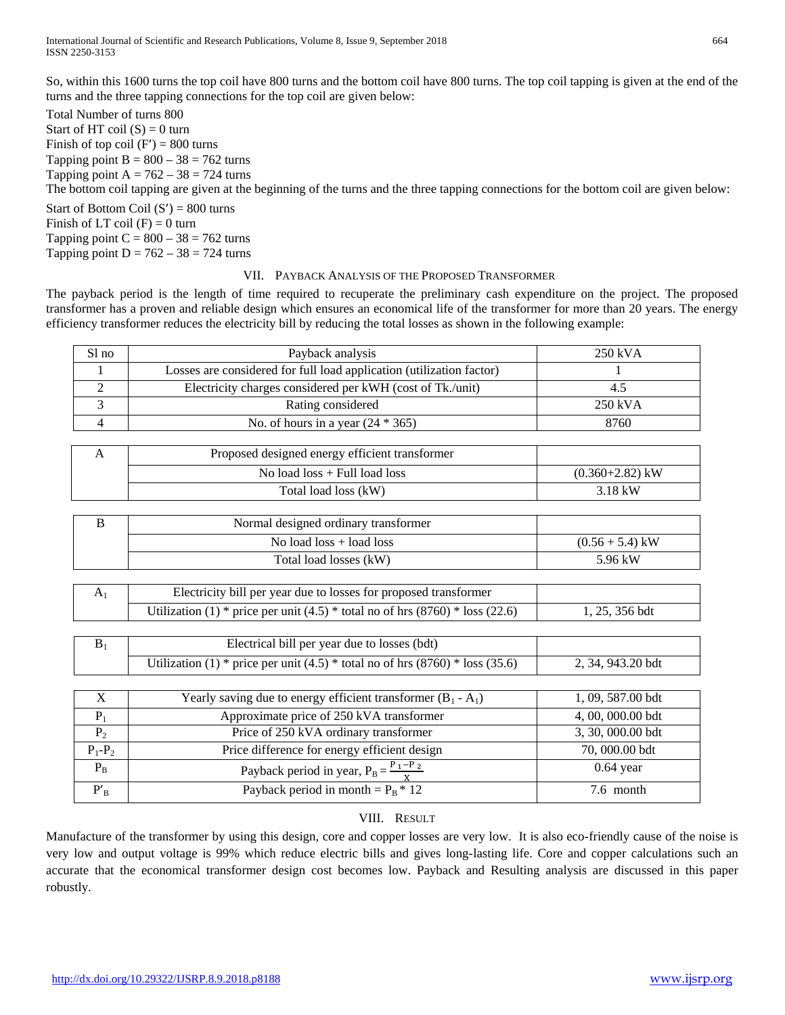International Journal of Scientific and Research Publications, Volume 8, Issue 9, September 2018 664 ISSN 2250-3153

So, within this 1600 turns the top coil have 800 turns and the bottom coil have 800 turns. The top coil tapping is given at the end of the turns and the three tapping connections for the top coil are given below:

Total Number of turns 800 Start of HT coil  $(S) = 0$  turn Finish of top coil  $(F') = 800$  turns Tapping point  $B = 800 - 38 = 762$  turns Tapping point  $A = 762 - 38 = 724$  turns The bottom coil tapping are given at the beginning of the turns and the three tapping connections for the bottom coil are given below: Start of Bottom Coil  $(S') = 800$  turns

Finish of  $LT$  coil  $(F) = 0$  turn Tapping point  $C = 800 - 38 = 762$  turns Tapping point  $D = 762 - 38 = 724$  turns

### VII. PAYBACK ANALYSIS OF THE PROPOSED TRANSFORMER

The payback period is the length of time required to recuperate the preliminary cash expenditure on the project. The proposed transformer has a proven and reliable design which ensures an economical life of the transformer for more than 20 years. The energy efficiency transformer reduces the electricity bill by reducing the total losses as shown in the following example:

| Sl no                    | Payback analysis                                                                | 250 kVA             |
|--------------------------|---------------------------------------------------------------------------------|---------------------|
| 1                        | Losses are considered for full load application (utilization factor)            |                     |
| $\overline{2}$           | Electricity charges considered per kWH (cost of Tk./unit)                       | 4.5                 |
| 3                        | Rating considered                                                               | 250 kVA             |
| $\overline{4}$           | No. of hours in a year $(24 * 365)$                                             | 8760                |
|                          |                                                                                 |                     |
| A                        | Proposed designed energy efficient transformer                                  |                     |
|                          | No load $loss + Full$ load loss                                                 | $(0.360 + 2.82)$ kW |
|                          | Total load loss (kW)                                                            | 3.18 kW             |
|                          |                                                                                 |                     |
| B                        | Normal designed ordinary transformer                                            |                     |
|                          | No load $loss + load$ loss                                                      | $(0.56 + 5.4)$ kW   |
|                          | Total load losses (kW)                                                          | 5.96 kW             |
|                          |                                                                                 |                     |
| A <sub>1</sub>           | Electricity bill per year due to losses for proposed transformer                |                     |
|                          | Utilization (1) * price per unit (4.5) * total no of hrs $(8760)$ * loss (22.6) | 1, 25, 356 bdt      |
|                          |                                                                                 |                     |
| $\mathbf{B}_1$           | Electrical bill per year due to losses (bdt)                                    |                     |
|                          | Utilization (1) * price per unit (4.5) * total no of hrs $(8760)$ * loss (35.6) | 2, 34, 943.20 bdt   |
|                          |                                                                                 |                     |
| $\mathbf X$              | Yearly saving due to energy efficient transformer $(B_1 - A_1)$                 | 1, 09, 587.00 bdt   |
| $P_1$                    | Approximate price of 250 kVA transformer                                        | 4, 00, 000.00 bdt   |
| $P_2$                    | Price of 250 kVA ordinary transformer                                           | 3, 30, 000.00 bdt   |
| $P_1 - P_2$              | Price difference for energy efficient design                                    | 70,000.00 bdt       |
| $\mathbf{P}_\mathrm{B}$  | Payback period in year, $P_B = \frac{P_1 - P_2}{Y}$                             | $0.64$ year         |
| $\mathbf{P'}_\mathrm{B}$ | Payback period in month = $P_B * 12$                                            | 7.6 month           |

# VIII. RESULT

Manufacture of the transformer by using this design, core and copper losses are very low. It is also eco-friendly cause of the noise is very low and output voltage is 99% which reduce electric bills and gives long-lasting life. Core and copper calculations such an accurate that the economical transformer design cost becomes low. Payback and Resulting analysis are discussed in this paper robustly.